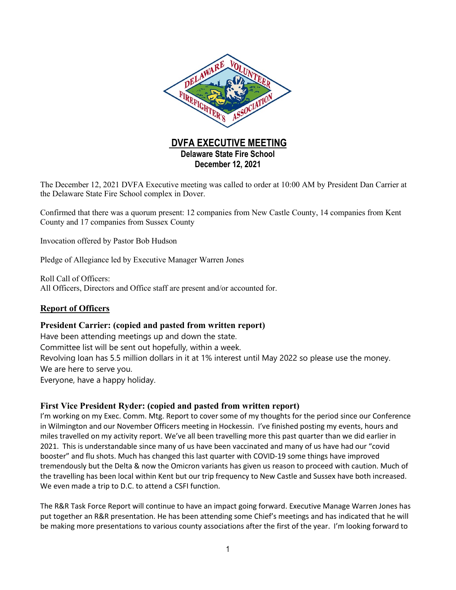

The December 12, 2021 DVFA Executive meeting was called to order at 10:00 AM by President Dan Carrier at the Delaware State Fire School complex in Dover.

Confirmed that there was a quorum present: 12 companies from New Castle County, 14 companies from Kent County and 17 companies from Sussex County

Invocation offered by Pastor Bob Hudson

Pledge of Allegiance led by Executive Manager Warren Jones

Roll Call of Officers: All Officers, Directors and Office staff are present and/or accounted for.

## **Report of Officers**

## **President Carrier: (copied and pasted from written report)**

Have been attending meetings up and down the state. Committee list will be sent out hopefully, within a week. Revolving loan has 5.5 million dollars in it at 1% interest until May 2022 so please use the money. We are here to serve you. Everyone, have a happy holiday.

#### **First Vice President Ryder: (copied and pasted from written report)**

I'm working on my Exec. Comm. Mtg. Report to cover some of my thoughts for the period since our Conference in Wilmington and our November Officers meeting in Hockessin. I've finished posting my events, hours and miles travelled on my activity report. We've all been travelling more this past quarter than we did earlier in 2021. This is understandable since many of us have been vaccinated and many of us have had our "covid booster" and flu shots. Much has changed this last quarter with COVID-19 some things have improved tremendously but the Delta & now the Omicron variants has given us reason to proceed with caution. Much of the travelling has been local within Kent but our trip frequency to New Castle and Sussex have both increased. We even made a trip to D.C. to attend a CSFI function.

The R&R Task Force Report will continue to have an impact going forward. Executive Manage Warren Jones has put together an R&R presentation. He has been attending some Chief's meetings and has indicated that he will be making more presentations to various county associations after the first of the year. I'm looking forward to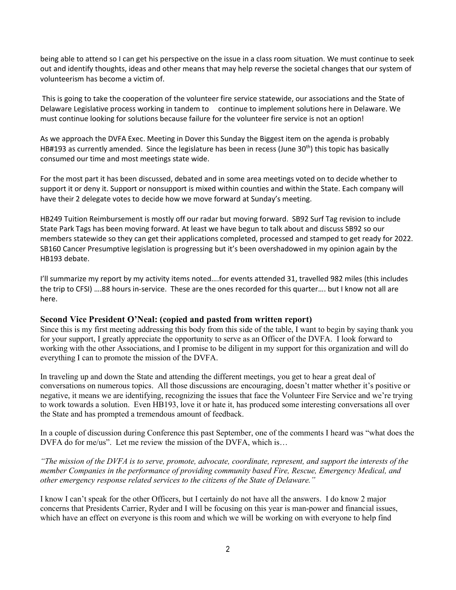being able to attend so I can get his perspective on the issue in a class room situation. We must continue to seek out and identify thoughts, ideas and other means that may help reverse the societal changes that our system of volunteerism has become a victim of.

This is going to take the cooperation of the volunteer fire service statewide, our associations and the State of Delaware Legislative process working in tandem to continue to implement solutions here in Delaware. We must continue looking for solutions because failure for the volunteer fire service is not an option!

As we approach the DVFA Exec. Meeting in Dover this Sunday the Biggest item on the agenda is probably HB#193 as currently amended. Since the legislature has been in recess (June  $30<sup>th</sup>$ ) this topic has basically consumed our time and most meetings state wide.

For the most part it has been discussed, debated and in some area meetings voted on to decide whether to support it or deny it. Support or nonsupport is mixed within counties and within the State. Each company will have their 2 delegate votes to decide how we move forward at Sunday's meeting.

HB249 Tuition Reimbursement is mostly off our radar but moving forward. SB92 Surf Tag revision to include State Park Tags has been moving forward. At least we have begun to talk about and discuss SB92 so our members statewide so they can get their applications completed, processed and stamped to get ready for 2022. SB160 Cancer Presumptive legislation is progressing but it's been overshadowed in my opinion again by the HB193 debate.

I'll summarize my report by my activity items noted….for events attended 31, travelled 982 miles (this includes the trip to CFSI) ….88 hours in-service. These are the ones recorded for this quarter…. but I know not all are here.

#### **Second Vice President O'Neal: (copied and pasted from written report)**

Since this is my first meeting addressing this body from this side of the table, I want to begin by saying thank you for your support, I greatly appreciate the opportunity to serve as an Officer of the DVFA. I look forward to working with the other Associations, and I promise to be diligent in my support for this organization and will do everything I can to promote the mission of the DVFA.

In traveling up and down the State and attending the different meetings, you get to hear a great deal of conversations on numerous topics. All those discussions are encouraging, doesn't matter whether it's positive or negative, it means we are identifying, recognizing the issues that face the Volunteer Fire Service and we're trying to work towards a solution. Even HB193, love it or hate it, has produced some interesting conversations all over the State and has prompted a tremendous amount of feedback.

In a couple of discussion during Conference this past September, one of the comments I heard was "what does the DVFA do for me/us". Let me review the mission of the DVFA, which is...

*"The mission of the DVFA is to serve, promote, advocate, coordinate, represent, and support the interests of the member Companies in the performance of providing community based Fire, Rescue, Emergency Medical, and other emergency response related services to the citizens of the State of Delaware."*

I know I can't speak for the other Officers, but I certainly do not have all the answers. I do know 2 major concerns that Presidents Carrier, Ryder and I will be focusing on this year is man-power and financial issues, which have an effect on everyone is this room and which we will be working on with everyone to help find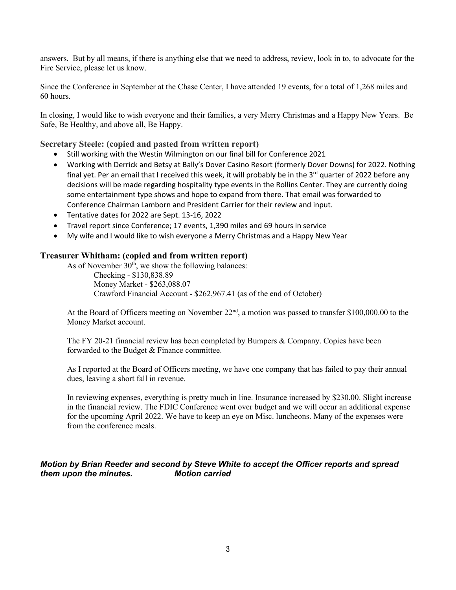answers. But by all means, if there is anything else that we need to address, review, look in to, to advocate for the Fire Service, please let us know.

Since the Conference in September at the Chase Center, I have attended 19 events, for a total of 1,268 miles and 60 hours.

In closing, I would like to wish everyone and their families, a very Merry Christmas and a Happy New Years. Be Safe, Be Healthy, and above all, Be Happy.

#### **Secretary Steele: (copied and pasted from written report)**

- Still working with the Westin Wilmington on our final bill for Conference 2021
- Working with Derrick and Betsy at Bally's Dover Casino Resort (formerly Dover Downs) for 2022. Nothing final yet. Per an email that I received this week, it will probably be in the 3<sup>rd</sup> quarter of 2022 before any decisions will be made regarding hospitality type events in the Rollins Center. They are currently doing some entertainment type shows and hope to expand from there. That email was forwarded to Conference Chairman Lamborn and President Carrier for their review and input.
- Tentative dates for 2022 are Sept. 13-16, 2022
- Travel report since Conference; 17 events, 1,390 miles and 69 hours in service
- My wife and I would like to wish everyone a Merry Christmas and a Happy New Year

#### **Treasurer Whitham: (copied and from written report)**

As of November  $30<sup>th</sup>$ , we show the following balances: Checking - \$130,838.89 Money Market - \$263,088.07 Crawford Financial Account - \$262,967.41 (as of the end of October)

At the Board of Officers meeting on November  $22<sup>nd</sup>$ , a motion was passed to transfer \$100,000.00 to the Money Market account.

The FY 20-21 financial review has been completed by Bumpers & Company. Copies have been forwarded to the Budget & Finance committee.

As I reported at the Board of Officers meeting, we have one company that has failed to pay their annual dues, leaving a short fall in revenue.

In reviewing expenses, everything is pretty much in line. Insurance increased by \$230.00. Slight increase in the financial review. The FDIC Conference went over budget and we will occur an additional expense for the upcoming April 2022. We have to keep an eye on Misc. luncheons. Many of the expenses were from the conference meals.

## *Motion by Brian Reeder and second by Steve White to accept the Officer reports and spread them upon the minutes. Motion carried*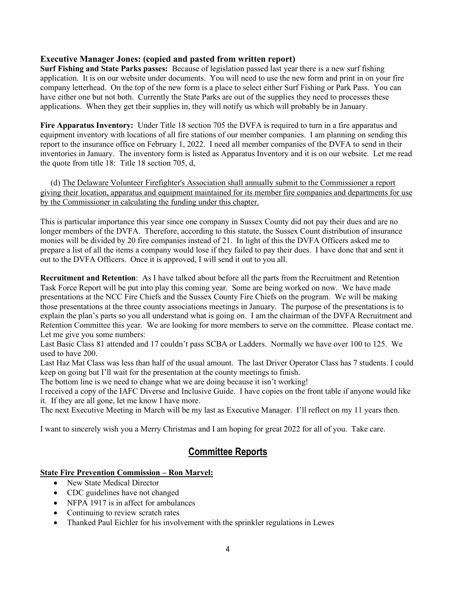## **Executive Manager Jones: (copied and pasted from written report)**

**Surf Fishing and State Parks passes:** Because of legislation passed last year there is a new surf fishing application. It is on our website under documents. You will need to use the new form and print in on your fire company letterhead. On the top of the new form is a place to select either Surf Fishing or Park Pass. You can have either one but not both. Currently the State Parks are out of the supplies they need to processes these applications. When they get their supplies in, they will notify us which will probably be in January.

**Fire Apparatus Inventory:** Under Title 18 section 705 the DVFA is required to turn in a fire apparatus and equipment inventory with locations of all fire stations of our member companies. I am planning on sending this report to the insurance office on February 1, 2022. I need all member companies of the DVFA to send in their inventories in January. The inventory form is listed as Apparatus Inventory and it is on our website. Let me read the quote from title 18: Title 18 section 705, d,

(d) The Delaware Volunteer Firefighter's Association shall annually submit to the Commissioner a report giving their location, apparatus and equipment maintained for its member fire companies and departments for use by the Commissioner in calculating the funding under this chapter.

This is particular importance this year since one company in Sussex County did not pay their dues and are no longer members of the DVFA. Therefore, according to this statute, the Sussex Count distribution of insurance monies will be divided by 20 fire companies instead of 21. In light of this the DVFA Officers asked me to prepare a list of all the items a company would lose if they failed to pay their dues. I have done that and sent it out to the DVFA Officers. Once it is approved, I will send it out to you all.

**Recruitment and Retention**: As I have talked about before all the parts from the Recruitment and Retention Task Force Report will be put into play this coming year. Some are being worked on now. We have made presentations at the NCC Fire Chiefs and the Sussex County Fire Chiefs on the program. We will be making those presentations at the three county associations meetings in January. The purpose of the presentations is to explain the plan's parts so you all understand what is going on. I am the chairman of the DVFA Recruitment and Retention Committee this year. We are looking for more members to serve on the committee. Please contact me. Let me give you some numbers:

Last Basic Class 81 attended and 17 couldn't pass SCBA or Ladders. Normally we have over 100 to 125. We used to have 200.

Last Haz Mat Class was less than half of the usual amount. The last Driver Operator Class has 7 students. I could keep on going but I'll wait for the presentation at the county meetings to finish.

The bottom line is we need to change what we are doing because it isn't working!

I received a copy of the IAFC Diverse and Inclusive Guide. I have copies on the front table if anyone would like it. If they are all gone, let me know I have more.

The next Executive Meeting in March will be my last as Executive Manager. I'll reflect on my 11 years then.

I want to sincerely wish you a Merry Christmas and I am hoping for great 2022 for all of you. Take care.

# **Committee Reports**

## **State Fire Prevention Commission – Ron Marvel:**

- New State Medical Director
- CDC guidelines have not changed
- NFPA 1917 is in affect for ambulances
- Continuing to review scratch rates
- Thanked Paul Eichler for his involvement with the sprinkler regulations in Lewes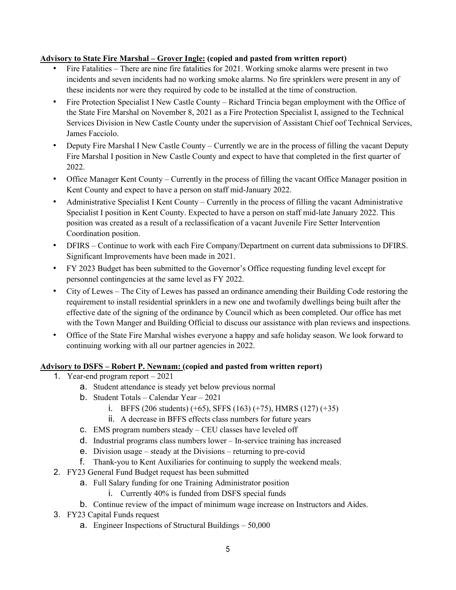#### **Advisory to State Fire Marshal – Grover Ingle: (copied and pasted from written report)**

- Fire Fatalities There are nine fire fatalities for 2021. Working smoke alarms were present in two incidents and seven incidents had no working smoke alarms. No fire sprinklers were present in any of these incidents nor were they required by code to be installed at the time of construction.
- Fire Protection Specialist I New Castle County Richard Trincia began employment with the Office of the State Fire Marshal on November 8, 2021 as a Fire Protection Specialist I, assigned to the Technical Services Division in New Castle County under the supervision of Assistant Chief oof Technical Services, James Facciolo.
- Deputy Fire Marshal I New Castle County Currently we are in the process of filling the vacant Deputy Fire Marshal I position in New Castle County and expect to have that completed in the first quarter of 2022.
- Office Manager Kent County Currently in the process of filling the vacant Office Manager position in Kent County and expect to have a person on staff mid-January 2022.
- Administrative Specialist I Kent County Currently in the process of filling the vacant Administrative Specialist I position in Kent County. Expected to have a person on staff mid-late January 2022. This position was created as a result of a reclassification of a vacant Juvenile Fire Setter Intervention Coordination position.
- DFIRS Continue to work with each Fire Company/Department on current data submissions to DFIRS. Significant Improvements have been made in 2021.
- FY 2023 Budget has been submitted to the Governor's Office requesting funding level except for personnel contingencies at the same level as FY 2022.
- City of Lewes The City of Lewes has passed an ordinance amending their Building Code restoring the requirement to install residential sprinklers in a new one and twofamily dwellings being built after the effective date of the signing of the ordinance by Council which as been completed. Our office has met with the Town Manger and Building Official to discuss our assistance with plan reviews and inspections.
- Office of the State Fire Marshal wishes everyone a happy and safe holiday season. We look forward to continuing working with all our partner agencies in 2022.

## **Advisory to DSFS – Robert P. Newnam: (copied and pasted from written report)**

- 1. Year-end program report 2021
	- a. Student attendance is steady yet below previous normal
	- b. Student Totals Calendar Year 2021
		- i. BFFS (206 students) (+65), SFFS (163) (+75), HMRS (127) (+35)
		- ii. A decrease in BFFS effects class numbers for future years
	- c. EMS program numbers steady CEU classes have leveled off
	- d. Industrial programs class numbers lower In-service training has increased
	- e. Division usage steady at the Divisions returning to pre-covid
	- f. Thank-you to Kent Auxiliaries for continuing to supply the weekend meals.
- 2. FY23 General Fund Budget request has been submitted
	- a. Full Salary funding for one Training Administrator position
		- i. Currently 40% is funded from DSFS special funds
	- b. Continue review of the impact of minimum wage increase on Instructors and Aides.
- 3. FY23 Capital Funds request
	- a. Engineer Inspections of Structural Buildings 50,000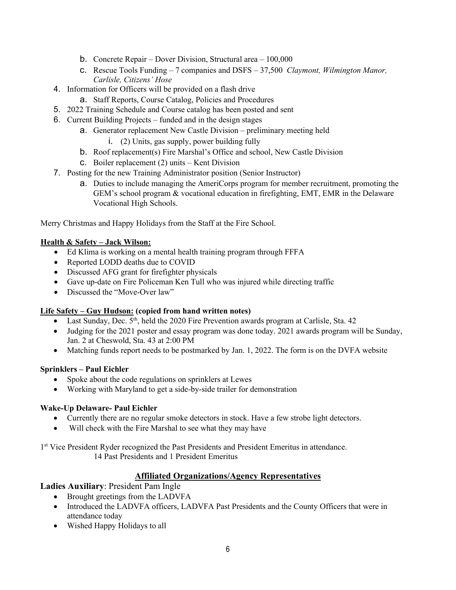- b. Concrete Repair Dover Division, Structural area 100,000
- c. Rescue Tools Funding 7 companies and DSFS 37,500 *Claymont, Wilmington Manor, Carlisle, Citizens' Hose*
- 4. Information for Officers will be provided on a flash drive
	- a. Staff Reports, Course Catalog, Policies and Procedures
- 5. 2022 Training Schedule and Course catalog has been posted and sent
- 6. Current Building Projects funded and in the design stages
	- a. Generator replacement New Castle Division preliminary meeting held
		- i. (2) Units, gas supply, power building fully
	- b. Roof replacement(s) Fire Marshal's Office and school, New Castle Division
	- c. Boiler replacement (2) units Kent Division
- 7. Posting for the new Training Administrator position (Senior Instructor)
	- a. Duties to include managing the AmeriCorps program for member recruitment, promoting the GEM's school program & vocational education in firefighting, EMT, EMR in the Delaware Vocational High Schools.

Merry Christmas and Happy Holidays from the Staff at the Fire School.

# **Health & Safety – Jack Wilson:**

- Ed Klima is working on a mental health training program through FFFA
- Reported LODD deaths due to COVID
- Discussed AFG grant for firefighter physicals
- Gave up-date on Fire Policeman Ken Tull who was injured while directing traffic
- Discussed the "Move-Over law"

## **Life Safety – Guy Hudson: (copied from hand written notes)**

- Last Sunday, Dec.  $5<sup>th</sup>$ , held the 2020 Fire Prevention awards program at Carlisle, Sta. 42
- Judging for the 2021 poster and essay program was done today. 2021 awards program will be Sunday, Jan. 2 at Cheswold, Sta. 43 at 2:00 PM
- Matching funds report needs to be postmarked by Jan. 1, 2022. The form is on the DVFA website

## **Sprinklers – Paul Eichler**

- Spoke about the code regulations on sprinklers at Lewes
- Working with Maryland to get a side-by-side trailer for demonstration

## **Wake-Up Delaware- Paul Eichler**

- Currently there are no regular smoke detectors in stock. Have a few strobe light detectors.
- Will check with the Fire Marshal to see what they may have

1<sup>st</sup> Vice President Ryder recognized the Past Presidents and President Emeritus in attendance.

14 Past Presidents and 1 President Emeritus

# **Affiliated Organizations/Agency Representatives**

# **Ladies Auxiliary**: President Pam Ingle

- Brought greetings from the LADVFA
- Introduced the LADVFA officers, LADVFA Past Presidents and the County Officers that were in attendance today
- Wished Happy Holidays to all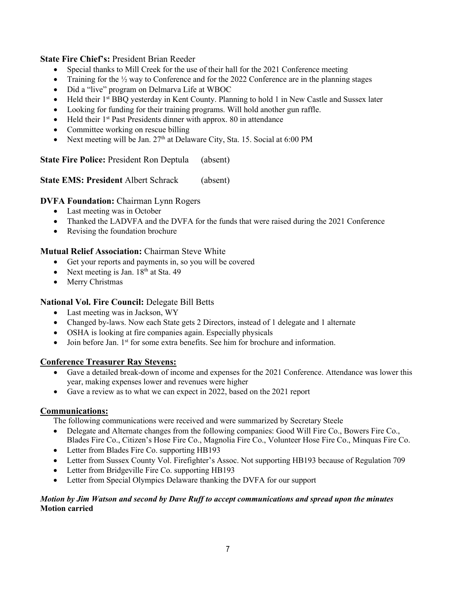**State Fire Chief's:** President Brian Reeder

- Special thanks to Mill Creek for the use of their hall for the 2021 Conference meeting
- Training for the  $\frac{1}{2}$  way to Conference and for the 2022 Conference are in the planning stages
- Did a "live" program on Delmarva Life at WBOC
- Held their 1<sup>st</sup> BBQ yesterday in Kent County. Planning to hold 1 in New Castle and Sussex later
- Looking for funding for their training programs. Will hold another gun raffle.
- Held their  $1^{st}$  Past Presidents dinner with approx. 80 in attendance
- Committee working on rescue billing
- Next meeting will be Jan. 27<sup>th</sup> at Delaware City, Sta. 15. Social at 6:00 PM

**State Fire Police:** President Ron Deptula (absent)

**State EMS: President Albert Schrack (absent)** 

# **DVFA Foundation:** Chairman Lynn Rogers

- Last meeting was in October
- Thanked the LADVFA and the DVFA for the funds that were raised during the 2021 Conference
- Revising the foundation brochure

# **Mutual Relief Association:** Chairman Steve White

- Get your reports and payments in, so you will be covered
- Next meeting is Jan.  $18<sup>th</sup>$  at Sta. 49
- Merry Christmas

# **National Vol. Fire Council:** Delegate Bill Betts

- Last meeting was in Jackson, WY
- Changed by-laws. Now each State gets 2 Directors, instead of 1 delegate and 1 alternate
- OSHA is looking at fire companies again. Especially physicals
- Join before Jan.  $1<sup>st</sup>$  for some extra benefits. See him for brochure and information.

## **Conference Treasurer Ray Stevens:**

- Gave a detailed break-down of income and expenses for the 2021 Conference. Attendance was lower this year, making expenses lower and revenues were higher
- Gave a review as to what we can expect in 2022, based on the 2021 report

## **Communications:**

The following communications were received and were summarized by Secretary Steele

- Delegate and Alternate changes from the following companies: Good Will Fire Co., Bowers Fire Co., Blades Fire Co., Citizen's Hose Fire Co., Magnolia Fire Co., Volunteer Hose Fire Co., Minquas Fire Co.
- Letter from Blades Fire Co. supporting HB193
- Letter from Sussex County Vol. Firefighter's Assoc. Not supporting HB193 because of Regulation 709
- Letter from Bridgeville Fire Co. supporting HB193
- Letter from Special Olympics Delaware thanking the DVFA for our support

#### *Motion by Jim Watson and second by Dave Ruff to accept communications and spread upon the minutes* **Motion carried**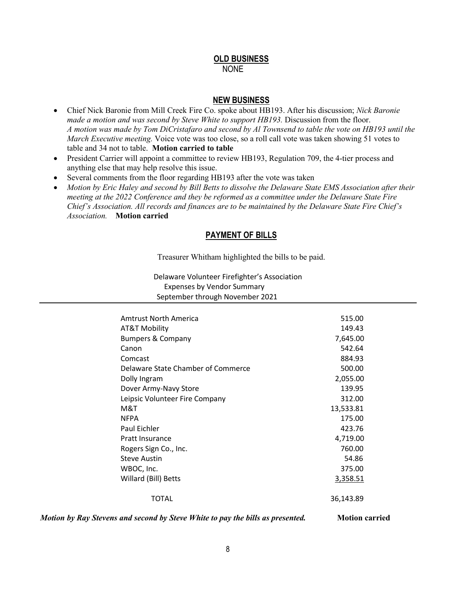## **OLD BUSINESS** NONE

#### **NEW BUSINESS**

- Chief Nick Baronie from Mill Creek Fire Co. spoke about HB193. After his discussion; *Nick Baronie made a motion and was second by Steve White to support HB193.* Discussion from the floor. *A motion was made by Tom DiCristafaro and second by Al Townsend to table the vote on HB193 until the March Executive meeting.* Voice vote was too close, so a roll call vote was taken showing 51 votes to table and 34 not to table. **Motion carried to table**
- President Carrier will appoint a committee to review HB193, Regulation 709, the 4-tier process and anything else that may help resolve this issue.
- Several comments from the floor regarding HB193 after the vote was taken
- *Motion by Eric Haley and second by Bill Betts to dissolve the Delaware State EMS Association after their meeting at the 2022 Conference and they be reformed as a committee under the Delaware State Fire Chief's Association. All records and finances are to be maintained by the Delaware State Fire Chief's Association.* **Motion carried**

# **PAYMENT OF BILLS**

Treasurer Whitham highlighted the bills to be paid.

Delaware Volunteer Firefighter's Association Expenses by Vendor Summary

September through November 2021

| Amtrust North America              | 515.00    |
|------------------------------------|-----------|
| AT&T Mobility                      | 149.43    |
| <b>Bumpers &amp; Company</b>       | 7,645.00  |
| Canon                              | 542.64    |
| Comcast                            | 884.93    |
| Delaware State Chamber of Commerce | 500.00    |
| Dolly Ingram                       | 2,055.00  |
| Dover Army-Navy Store              | 139.95    |
| Leipsic Volunteer Fire Company     | 312.00    |
| M&T                                | 13,533.81 |
| <b>NFPA</b>                        | 175.00    |
| Paul Eichler                       | 423.76    |
| <b>Pratt Insurance</b>             | 4,719.00  |
| Rogers Sign Co., Inc.              | 760.00    |
| <b>Steve Austin</b>                | 54.86     |
| WBOC, Inc.                         | 375.00    |
| Willard (Bill) Betts               | 3,358.51  |
|                                    |           |
| ΤΟΤΑΙ                              | 36,143.89 |

*Motion by Ray Stevens and second by Steve White to pay the bills as presented.* **Motion carried**